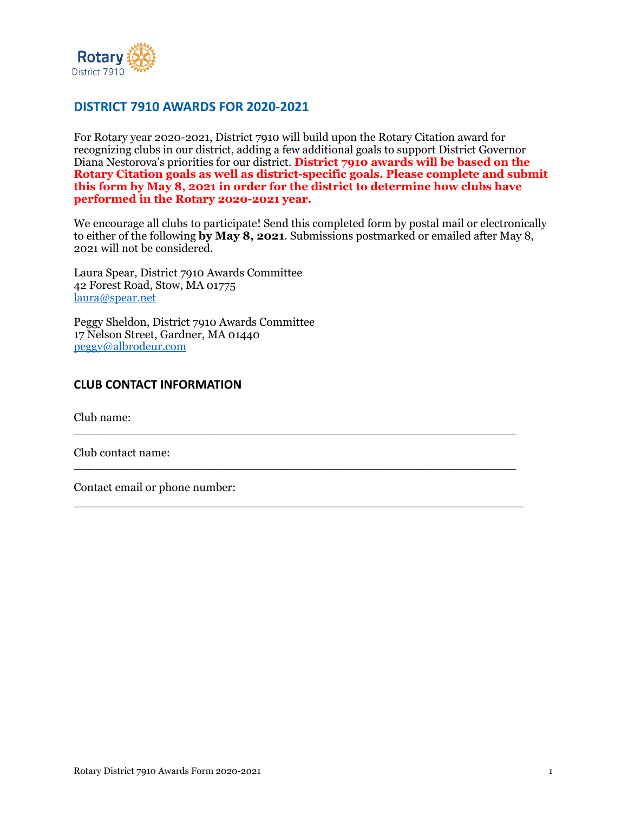

# **DISTRICT 7910 AWARDS FOR 2020-2021**

For Rotary year 2020-2021, District 7910 will build upon the Rotary Citation award for recognizing clubs in our district, adding a few additional goals to support District Governor Diana Nestorova's priorities for our district. **District 7910 awards will be based on the Rotary Citation goals as well as district-specific goals. Please complete and submit this form by May 8, 2021 in order for the district to determine how clubs have performed in the Rotary 2020-2021 year.** 

We encourage all clubs to participate! Send this completed form by postal mail or electronically to either of the following **by May 8, 2021**. Submissions postmarked or emailed after May 8, 2021 will not be considered.

\_\_\_\_\_\_\_\_\_\_\_\_\_\_\_\_\_\_\_\_\_\_\_\_\_\_\_\_\_\_\_\_\_\_\_\_\_\_\_\_\_\_\_\_\_\_\_\_\_\_\_\_\_\_\_\_\_\_\_\_\_

 $\_$  , and the set of the set of the set of the set of the set of the set of the set of the set of the set of the set of the set of the set of the set of the set of the set of the set of the set of the set of the set of th

\_\_\_\_\_\_\_\_\_\_\_\_\_\_\_\_\_\_\_\_\_\_\_\_\_\_\_\_\_\_\_\_\_\_\_\_\_\_\_\_\_\_\_\_\_\_\_\_\_\_\_\_\_\_\_\_\_\_\_\_\_\_

Laura Spear, District 7910 Awards Committee 42 Forest Road, Stow, MA 01775 [laura@spear.net](mailto:laura@spear.net)

Peggy Sheldon, District 7910 Awards Committee 17 Nelson Street, Gardner, MA 01440 [peggy@albrodeur.com](mailto:peggy@albroeder.com) 

#### **CLUB CONTACT INFORMATION**

Club name:

Club contact name:

Contact email or phone number: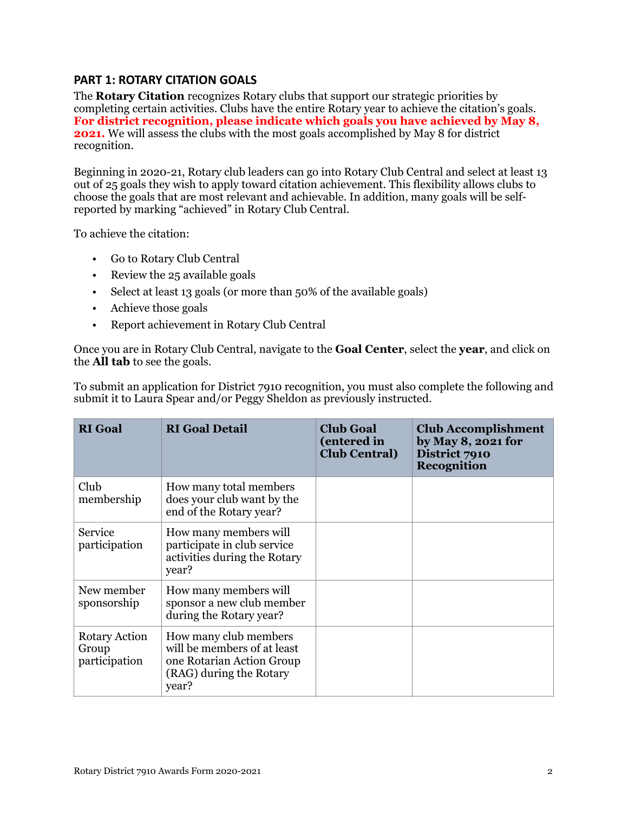## **PART 1: ROTARY CITATION GOALS**

The **Rotary Citation** recognizes Rotary clubs that support our strategic priorities by completing certain activities. Clubs have the entire Rotary year to achieve the citation's goals. **For district recognition, please indicate which goals you have achieved by May 8, 2021.** We will assess the clubs with the most goals accomplished by May 8 for district recognition.

Beginning in 2020-21, Rotary club leaders can go into Rotary Club Central and select at least 13 out of 25 goals they wish to apply toward citation achievement. This flexibility allows clubs to choose the goals that are most relevant and achievable. In addition, many goals will be selfreported by marking "achieved" in Rotary Club Central.

To achieve the citation:

- Go to Rotary Club Central
- Review the 25 available goals
- Select at least 13 goals (or more than 50% of the available goals)
- Achieve those goals
- Report achievement in Rotary Club Central

Once you are in Rotary Club Central, navigate to the **Goal Center**, select the **year**, and click on the **All tab** to see the goals.

To submit an application for District 7910 recognition, you must also complete the following and submit it to Laura Spear and/or Peggy Sheldon as previously instructed.

| <b>RI</b> Goal                          | <b>RI</b> Goal Detail                                                                                                 | <b>Club Goal</b><br>(entered in<br><b>Club Central</b> ) | <b>Club Accomplishment</b><br>by May 8, 2021 for<br>District 7910<br>Recognition |
|-----------------------------------------|-----------------------------------------------------------------------------------------------------------------------|----------------------------------------------------------|----------------------------------------------------------------------------------|
| Club<br>membership                      | How many total members<br>does your club want by the<br>end of the Rotary year?                                       |                                                          |                                                                                  |
| Service<br>participation                | How many members will<br>participate in club service<br>activities during the Rotary<br>year?                         |                                                          |                                                                                  |
| New member<br>sponsorship               | How many members will<br>sponsor a new club member<br>during the Rotary year?                                         |                                                          |                                                                                  |
| Rotary Action<br>Group<br>participation | How many club members<br>will be members of at least<br>one Rotarian Action Group<br>(RAG) during the Rotary<br>year? |                                                          |                                                                                  |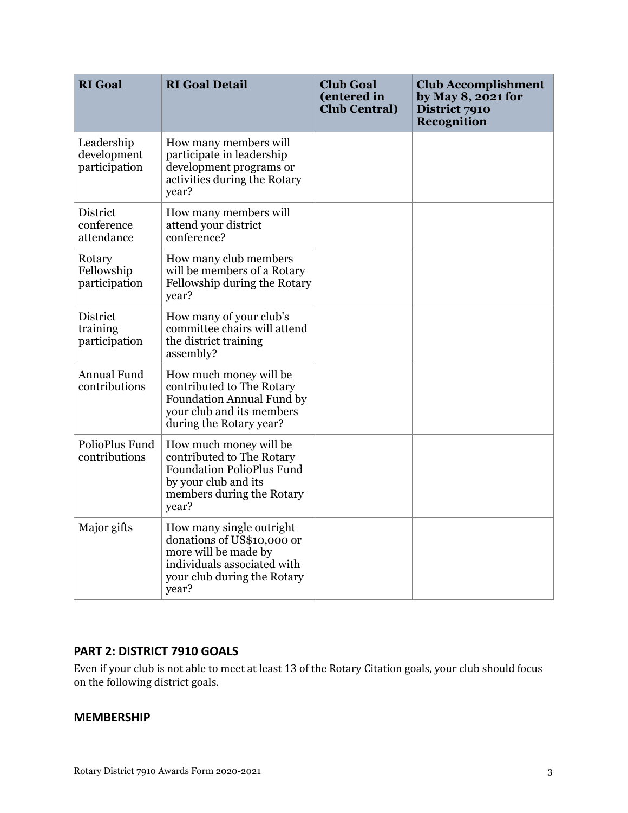| <b>RI</b> Goal                               | <b>RI</b> Goal Detail                                                                                                                                 | <b>Club Goal</b><br>(entered in<br><b>Club Central</b> ) | <b>Club Accomplishment</b><br>by May 8, 2021 for<br>District 7910<br>Recognition |
|----------------------------------------------|-------------------------------------------------------------------------------------------------------------------------------------------------------|----------------------------------------------------------|----------------------------------------------------------------------------------|
| Leadership<br>development<br>participation   | How many members will<br>participate in leadership<br>development programs or<br>activities during the Rotary<br>year?                                |                                                          |                                                                                  |
| District<br>conference<br>attendance         | How many members will<br>attend your district<br>conference?                                                                                          |                                                          |                                                                                  |
| Rotary<br>Fellowship<br>participation        | How many club members<br>will be members of a Rotary<br>Fellowship during the Rotary<br>year?                                                         |                                                          |                                                                                  |
| <b>District</b><br>training<br>participation | How many of your club's<br>committee chairs will attend<br>the district training<br>assembly?                                                         |                                                          |                                                                                  |
| Annual Fund<br>contributions                 | How much money will be<br>contributed to The Rotary<br>Foundation Annual Fund by<br>your club and its members<br>during the Rotary year?              |                                                          |                                                                                  |
| PolioPlus Fund<br>contributions              | How much money will be<br>contributed to The Rotary<br><b>Foundation PolioPlus Fund</b><br>by your club and its<br>members during the Rotary<br>year? |                                                          |                                                                                  |
| Major gifts                                  | How many single outright<br>donations of US\$10,000 or<br>more will be made by<br>individuals associated with<br>your club during the Rotary<br>year? |                                                          |                                                                                  |

## **PART 2: DISTRICT 7910 GOALS**

Even if your club is not able to meet at least 13 of the Rotary Citation goals, your club should focus on the following district goals.

### **MEMBERSHIP**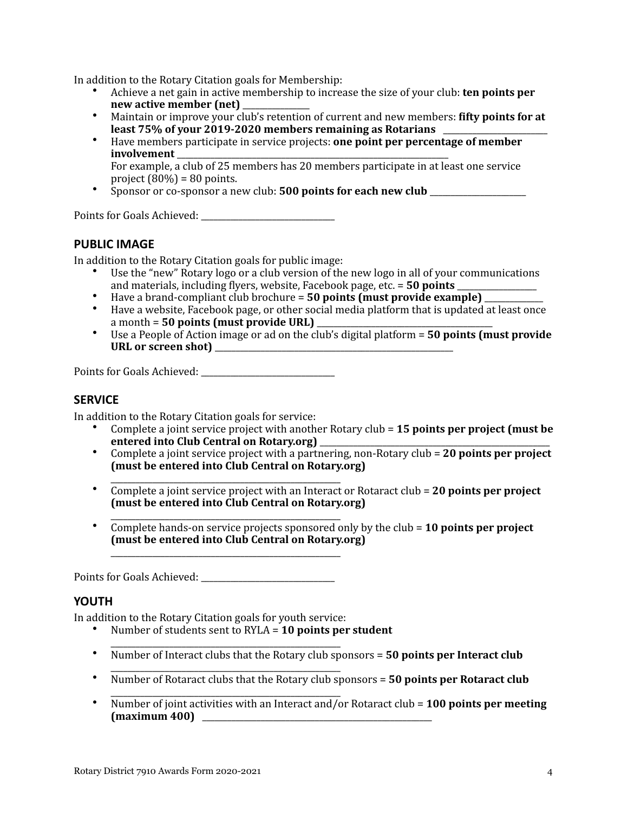In addition to the Rotary Citation goals for Membership:

- Achieve a net gain in active membership to increase the size of your club: **ten points per** new active member (net)
- Maintain or improve your club's retention of current and new members: **fifty points for at least 75% of your 2019-2020 members remaining as Rotarians**
- Have members participate in service projects: **one point per percentage of member involvement** For example, a club of 25 members has 20 members participate in at least one service
- project  $(80\%) = 80$  points. Sponsor or co-sponsor a new club: **500 points for each new club**

Points for Goals Achieved: \_\_\_\_\_\_\_\_\_\_\_\_\_\_\_\_\_\_\_\_\_\_\_\_\_\_\_\_\_\_\_\_ 

### **PUBLIC IMAGE**

In addition to the Rotary Citation goals for public image:

- Use the "new" Rotary logo or a club version of the new logo in all of your communications and materials, including flyers, website, Facebook page, etc. = 50 points \_\_\_\_\_\_\_\_\_\_\_\_\_
- Have a brand-compliant club brochure = **50 points (must provide example)**
- Have a website, Facebook page, or other social media platform that is updated at least once a month = 50 points (must provide URL)
- Use a People of Action image or ad on the club's digital platform = **50 points (must provide**) **URL or screen shot)** \_\_\_\_\_\_\_\_\_\_\_\_\_\_\_\_\_\_\_\_\_\_\_\_\_\_\_\_\_\_\_\_\_\_\_\_\_\_\_\_\_\_\_\_\_\_\_\_\_\_\_\_\_\_\_\_\_

Points for Goals Achieved: \_\_\_\_\_\_\_\_\_\_\_\_\_\_\_\_\_\_\_\_\_\_\_\_\_\_\_\_\_\_\_\_ 

#### **SERVICE**

In addition to the Rotary Citation goals for service:

- Complete a joint service project with another Rotary club = 15 points per project (must be **entered into Club Central on Rotary.org)**
- Complete a joint service project with a partnering, non-Rotary  $\text{club} = 20$  points per project **(must be entered into Club Central on Rotary.org)**
- \_\_\_\_\_\_\_\_\_\_\_\_\_\_\_\_\_\_\_\_\_\_\_\_\_\_\_\_\_\_\_\_\_\_\_\_\_\_\_\_\_\_\_\_\_\_\_\_\_\_\_\_\_\_\_ • Complete a joint service project with an Interact or Rotaract club = 20 points per project (must be entered into Club Central on Rotary.org)
- \_\_\_\_\_\_\_\_\_\_\_\_\_\_\_\_\_\_\_\_\_\_\_\_\_\_\_\_\_\_\_\_\_\_\_\_\_\_\_\_\_\_\_\_\_\_\_\_\_\_\_\_\_\_\_ • Complete hands-on service projects sponsored only by the club = 10 points per project **(must be entered into Club Central on Rotary.org)**

Points for Goals Achieved: \_\_\_\_\_\_\_\_\_\_\_\_\_\_\_\_\_\_\_\_\_\_\_\_\_\_\_\_\_\_\_\_ 

\_\_\_\_\_\_\_\_\_\_\_\_\_\_\_\_\_\_\_\_\_\_\_\_\_\_\_\_\_\_\_\_\_\_\_\_\_\_\_\_\_\_\_\_\_\_\_\_\_\_\_\_\_\_\_

#### **YOUTH**

In addition to the Rotary Citation goals for youth service:

- Number of students sent to RYLA = **10 points per student**
- \_\_\_\_\_\_\_\_\_\_\_\_\_\_\_\_\_\_\_\_\_\_\_\_\_\_\_\_\_\_\_\_\_\_\_\_\_\_\_\_\_\_\_\_\_\_\_\_\_\_\_\_\_\_\_ • Number of Interact clubs that the Rotary club sponsors = **50 points per Interact club**
- \_\_\_\_\_\_\_\_\_\_\_\_\_\_\_\_\_\_\_\_\_\_\_\_\_\_\_\_\_\_\_\_\_\_\_\_\_\_\_\_\_\_\_\_\_\_\_\_\_\_\_\_\_\_\_ • Number of Rotaract clubs that the Rotary club sponsors = 50 points per Rotaract club
- \_\_\_\_\_\_\_\_\_\_\_\_\_\_\_\_\_\_\_\_\_\_\_\_\_\_\_\_\_\_\_\_\_\_\_\_\_\_\_\_\_\_\_\_\_\_\_\_\_\_\_\_\_\_\_ • Number of joint activities with an Interact and/or Rotaract club = 100 points per meeting **(maximum 400)**  \_\_\_\_\_\_\_\_\_\_\_\_\_\_\_\_\_\_\_\_\_\_\_\_\_\_\_\_\_\_\_\_\_\_\_\_\_\_\_\_\_\_\_\_\_\_\_\_\_\_\_\_\_\_\_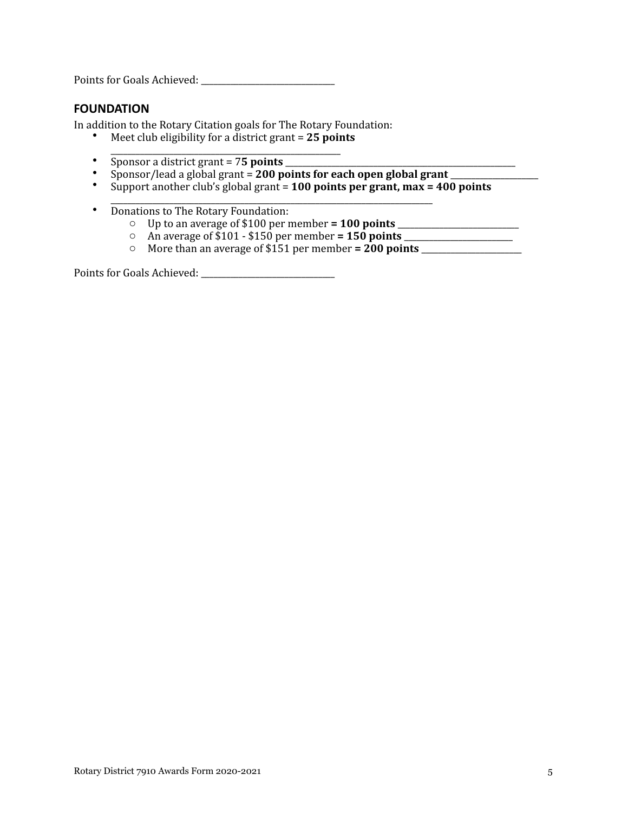Points for Goals Achieved: \_\_\_\_\_\_\_\_\_\_\_\_\_\_\_\_\_\_\_\_\_\_\_\_\_\_\_\_\_\_\_\_ 

#### **FOUNDATION**

In addition to the Rotary Citation goals for The Rotary Foundation:

- Meet club eligibility for a district grant = 25 points
- \_\_\_\_\_\_\_\_\_\_\_\_\_\_\_\_\_\_\_\_\_\_\_\_\_\_\_\_\_\_\_\_\_\_\_\_\_\_\_\_\_\_\_\_\_\_\_\_\_\_\_\_\_\_\_ • Sponsor a district grant = 7**5 points**
- Sponsor/lead a global grant = 200 points for each open global grant
- Support another club's global grant =  $100$  points per grant, max =  $400$  points
- \_\_\_\_\_\_\_\_\_\_\_\_\_\_\_\_\_\_\_\_\_\_\_\_\_\_\_\_\_\_\_\_\_\_\_\_\_\_\_\_\_\_\_\_\_\_\_\_\_\_\_\_\_\_\_\_\_\_\_\_\_\_\_\_\_\_\_\_\_\_\_\_\_\_\_\_\_ • Donations to The Rotary Foundation:
	- o Up to an average of \$100 per member **= 100 points** \_\_\_\_\_\_\_\_\_\_\_\_\_\_\_\_\_\_\_\_\_\_\_\_\_\_\_\_\_
	- o An average of \$101 - \$150 per member **= 150 points** \_\_\_\_\_\_\_\_\_\_\_\_\_\_\_\_\_\_\_\_\_\_\_\_\_\_
	- o More than an average of \$151 per member **= 200 points** \_\_\_\_\_\_\_\_\_\_\_\_\_\_\_\_\_\_\_\_\_\_\_\_

Points for Goals Achieved: \_\_\_\_\_\_\_\_\_\_\_\_\_\_\_\_\_\_\_\_\_\_\_\_\_\_\_\_\_\_\_\_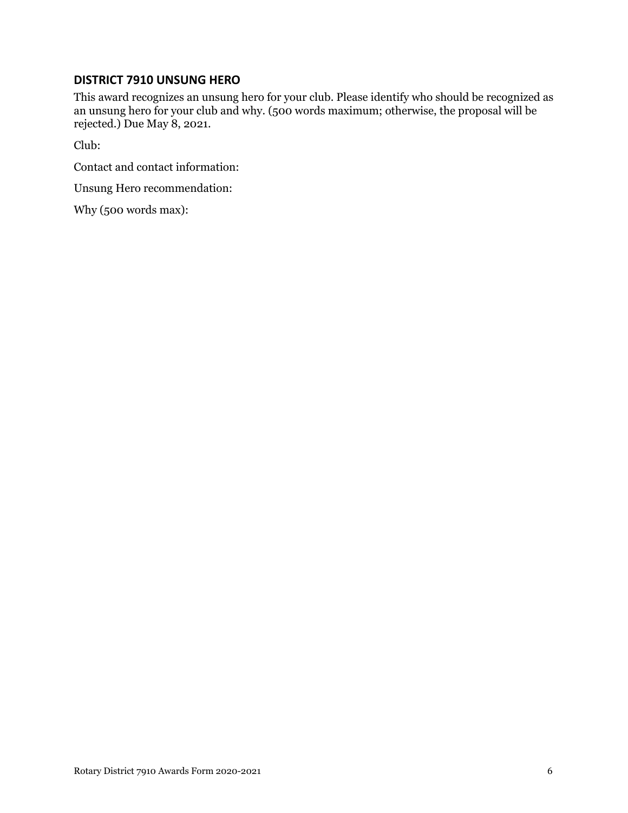## **DISTRICT 7910 UNSUNG HERO**

This award recognizes an unsung hero for your club. Please identify who should be recognized as an unsung hero for your club and why. (500 words maximum; otherwise, the proposal will be rejected.) Due May 8, 2021.

Club:

Contact and contact information:

Unsung Hero recommendation:

Why (500 words max):